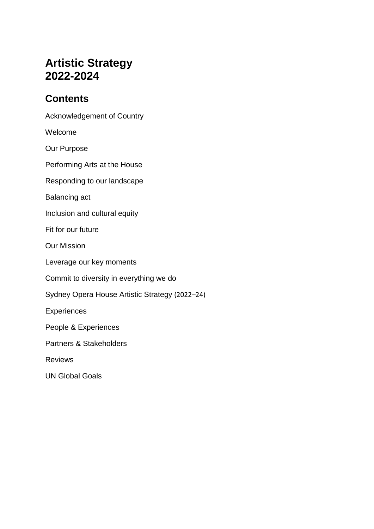# **Artistic Strategy 2022-2024**

# **Contents**

[Acknowledgement of Country](#page-2-0)

[Welcome](#page-2-1)

[Our Purpose](#page-3-0)

[Performing Arts at the House](#page-4-0)

[Responding to our landscape](#page-6-0)

[Balancing act](#page-6-1)

[Inclusion and cultural equity](#page-7-0)

[Fit for our future](#page-7-1)

[Our Mission](#page-8-0)

[Leverage our key moments](#page-9-0)

[Commit to diversity in everything we do](#page-9-1)

[Sydney Opera House Artistic Strategy](#page-9-2) (2022–24)

**[Experiences](#page-13-0)** 

[People & Experiences](#page-14-0)

[Partners & Stakeholders](#page-15-0)

[Reviews](#page-16-0)

[UN Global Goals](#page-18-0)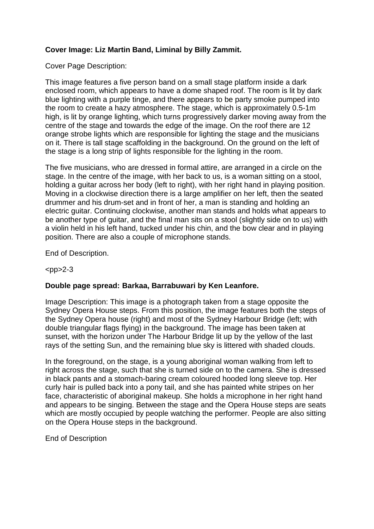### **Cover Image: Liz Martin Band, Liminal by Billy Zammit.**

Cover Page Description:

This image features a five person band on a small stage platform inside a dark enclosed room, which appears to have a dome shaped roof. The room is lit by dark blue lighting with a purple tinge, and there appears to be party smoke pumped into the room to create a hazy atmosphere. The stage, which is approximately 0.5-1m high, is lit by orange lighting, which turns progressively darker moving away from the centre of the stage and towards the edge of the image. On the roof there are 12 orange strobe lights which are responsible for lighting the stage and the musicians on it. There is tall stage scaffolding in the background. On the ground on the left of the stage is a long strip of lights responsible for the lighting in the room.

The five musicians, who are dressed in formal attire, are arranged in a circle on the stage. In the centre of the image, with her back to us, is a woman sitting on a stool, holding a guitar across her body (left to right), with her right hand in playing position. Moving in a clockwise direction there is a large amplifier on her left, then the seated drummer and his drum-set and in front of her, a man is standing and holding an electric guitar. Continuing clockwise, another man stands and holds what appears to be another type of guitar, and the final man sits on a stool (slightly side on to us) with a violin held in his left hand, tucked under his chin, and the bow clear and in playing position. There are also a couple of microphone stands.

End of Description.

#### $<$ pp>2-3

#### **Double page spread: Barkaa, Barrabuwari by Ken Leanfore.**

Image Description: This image is a photograph taken from a stage opposite the Sydney Opera House steps. From this position, the image features both the steps of the Sydney Opera house (right) and most of the Sydney Harbour Bridge (left; with double triangular flags flying) in the background. The image has been taken at sunset, with the horizon under The Harbour Bridge lit up by the yellow of the last rays of the setting Sun, and the remaining blue sky is littered with shaded clouds.

In the foreground, on the stage, is a young aboriginal woman walking from left to right across the stage, such that she is turned side on to the camera. She is dressed in black pants and a stomach-baring cream coloured hooded long sleeve top. Her curly hair is pulled back into a pony tail, and she has painted white stripes on her face, characteristic of aboriginal makeup. She holds a microphone in her right hand and appears to be singing. Between the stage and the Opera House steps are seats which are mostly occupied by people watching the performer. People are also sitting on the Opera House steps in the background.

End of Description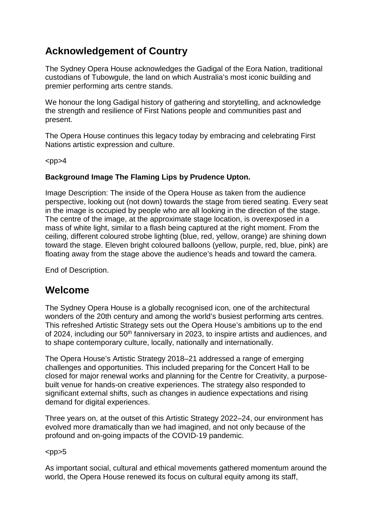# <span id="page-2-0"></span>**Acknowledgement of Country**

The Sydney Opera House acknowledges the Gadigal of the Eora Nation, traditional custodians of Tubowgule, the land on which Australia's most iconic building and premier performing arts centre stands.

We honour the long Gadigal history of gathering and storytelling, and acknowledge the strength and resilience of First Nations people and communities past and present.

The Opera House continues this legacy today by embracing and celebrating First Nations artistic expression and culture.

 $<$ pp $>4$ 

### **Background Image The Flaming Lips by Prudence Upton.**

Image Description: The inside of the Opera House as taken from the audience perspective, looking out (not down) towards the stage from tiered seating. Every seat in the image is occupied by people who are all looking in the direction of the stage. The centre of the image, at the approximate stage location, is overexposed in a mass of white light, similar to a flash being captured at the right moment. From the ceiling, different coloured strobe lighting (blue, red, yellow, orange) are shining down toward the stage. Eleven bright coloured balloons (yellow, purple, red, blue, pink) are floating away from the stage above the audience's heads and toward the camera.

End of Description.

# <span id="page-2-1"></span>**Welcome**

The Sydney Opera House is a globally recognised icon, one of the architectural wonders of the 20th century and among the world's busiest performing arts centres. This refreshed Artistic Strategy sets out the Opera House's ambitions up to the end of 2024, including our 50<sup>th</sup> fanniversary in 2023, to inspire artists and audiences, and to shape contemporary culture, locally, nationally and internationally.

The Opera House's Artistic Strategy 2018–21 addressed a range of emerging challenges and opportunities. This included preparing for the Concert Hall to be closed for major renewal works and planning for the Centre for Creativity, a purposebuilt venue for hands-on creative experiences. The strategy also responded to significant external shifts, such as changes in audience expectations and rising demand for digital experiences.

Three years on, at the outset of this Artistic Strategy 2022–24, our environment has evolved more dramatically than we had imagined, and not only because of the profound and on-going impacts of the COVID-19 pandemic.

 $<$ pp $>5$ 

As important social, cultural and ethical movements gathered momentum around the world, the Opera House renewed its focus on cultural equity among its staff,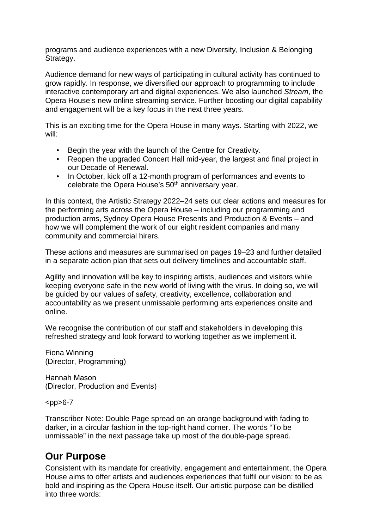programs and audience experiences with a new Diversity, Inclusion & Belonging Strategy.

Audience demand for new ways of participating in cultural activity has continued to grow rapidly. In response, we diversified our approach to programming to include interactive contemporary art and digital experiences. We also launched *Stream*, the Opera House's new online streaming service. Further boosting our digital capability and engagement will be a key focus in the next three years.

This is an exciting time for the Opera House in many ways. Starting with 2022, we will:

- Begin the year with the launch of the Centre for Creativity.
- Reopen the upgraded Concert Hall mid-year, the largest and final project in our Decade of Renewal.
- In October, kick off a 12-month program of performances and events to celebrate the Opera House's 50<sup>th</sup> anniversary year.

In this context, the Artistic Strategy 2022–24 sets out clear actions and measures for the performing arts across the Opera House – including our programming and production arms, Sydney Opera House Presents and Production & Events – and how we will complement the work of our eight resident companies and many community and commercial hirers.

These actions and measures are summarised on pages 19–23 and further detailed in a separate action plan that sets out delivery timelines and accountable staff.

Agility and innovation will be key to inspiring artists, audiences and visitors while keeping everyone safe in the new world of living with the virus. In doing so, we will be guided by our values of safety, creativity, excellence, collaboration and accountability as we present unmissable performing arts experiences onsite and online.

We recognise the contribution of our staff and stakeholders in developing this refreshed strategy and look forward to working together as we implement it.

Fiona Winning (Director, Programming)

Hannah Mason (Director, Production and Events)

 $<$ pp $>6-7$ 

<span id="page-3-0"></span>Transcriber Note: Double Page spread on an orange background with fading to darker, in a circular fashion in the top-right hand corner. The words "To be unmissable" in the next passage take up most of the double-page spread.

# **Our Purpose**

Consistent with its mandate for creativity, engagement and entertainment, the Opera House aims to offer artists and audiences experiences that fulfil our vision: to be as bold and inspiring as the Opera House itself. Our artistic purpose can be distilled into three words: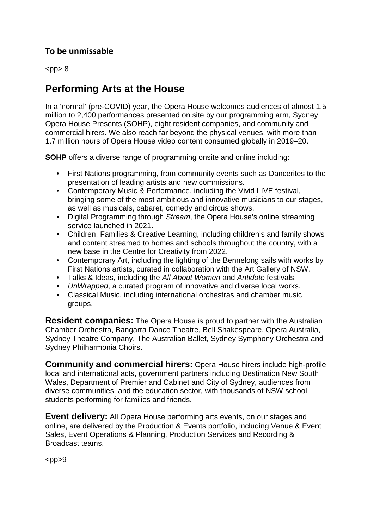## **To be unmissable**

 $<$ pp $> 8$ 

# <span id="page-4-0"></span>**Performing Arts at the House**

In a 'normal' (pre-COVID) year, the Opera House welcomes audiences of almost 1.5 million to 2,400 performances presented on site by our programming arm, Sydney Opera House Presents (SOHP), eight resident companies, and community and commercial hirers. We also reach far beyond the physical venues, with more than 1.7 million hours of Opera House video content consumed globally in 2019–20.

**SOHP** offers a diverse range of programming onsite and online including:

- First Nations programming, from community events such as Dancerites to the presentation of leading artists and new commissions.
- Contemporary Music & Performance, including the Vivid LIVE festival, bringing some of the most ambitious and innovative musicians to our stages, as well as musicals, cabaret, comedy and circus shows.
- Digital Programming through *Stream*, the Opera House's online streaming service launched in 2021.
- Children, Families & Creative Learning, including children's and family shows and content streamed to homes and schools throughout the country, with a new base in the Centre for Creativity from 2022.
- Contemporary Art, including the lighting of the Bennelong sails with works by First Nations artists, curated in collaboration with the Art Gallery of NSW.
- Talks & Ideas, including the *All About Women* and *Antidote* festivals.
- *UnWrapped*, a curated program of innovative and diverse local works.
- Classical Music, including international orchestras and chamber music groups.

**Resident companies:** The Opera House is proud to partner with the Australian Chamber Orchestra, Bangarra Dance Theatre, Bell Shakespeare, Opera Australia, Sydney Theatre Company, The Australian Ballet, Sydney Symphony Orchestra and Sydney Philharmonia Choirs.

**Community and commercial hirers:** Opera House hirers include high-profile local and international acts, government partners including Destination New South Wales, Department of Premier and Cabinet and City of Sydney, audiences from diverse communities, and the education sector, with thousands of NSW school students performing for families and friends.

**Event delivery:** All Opera House performing arts events, on our stages and online, are delivered by the Production & Events portfolio, including Venue & Event Sales, Event Operations & Planning, Production Services and Recording & Broadcast teams.

 $<$ pp $>9$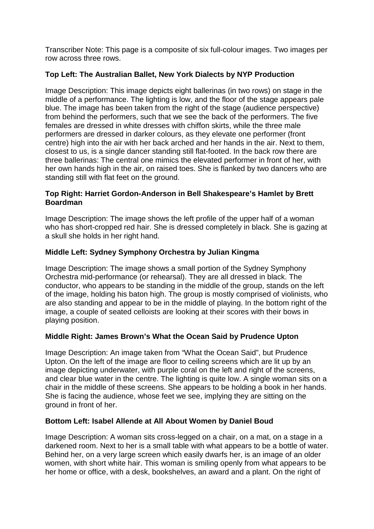Transcriber Note: This page is a composite of six full-colour images. Two images per row across three rows.

### **Top Left: The Australian Ballet, New York Dialects by NYP Production**

Image Description: This image depicts eight ballerinas (in two rows) on stage in the middle of a performance. The lighting is low, and the floor of the stage appears pale blue. The image has been taken from the right of the stage (audience perspective) from behind the performers, such that we see the back of the performers. The five females are dressed in white dresses with chiffon skirts, while the three male performers are dressed in darker colours, as they elevate one performer (front centre) high into the air with her back arched and her hands in the air. Next to them, closest to us, is a single dancer standing still flat-footed. In the back row there are three ballerinas: The central one mimics the elevated performer in front of her, with her own hands high in the air, on raised toes. She is flanked by two dancers who are standing still with flat feet on the ground.

#### **Top Right: Harriet Gordon-Anderson in Bell Shakespeare's Hamlet by Brett Boardman**

Image Description: The image shows the left profile of the upper half of a woman who has short-cropped red hair. She is dressed completely in black. She is gazing at a skull she holds in her right hand.

### **Middle Left: Sydney Symphony Orchestra by Julian Kingma**

Image Description: The image shows a small portion of the Sydney Symphony Orchestra mid-performance (or rehearsal). They are all dressed in black. The conductor, who appears to be standing in the middle of the group, stands on the left of the image, holding his baton high. The group is mostly comprised of violinists, who are also standing and appear to be in the middle of playing. In the bottom right of the image, a couple of seated celloists are looking at their scores with their bows in playing position.

#### **Middle Right: James Brown's What the Ocean Said by Prudence Upton**

Image Description: An image taken from "What the Ocean Said", but Prudence Upton. On the left of the image are floor to ceiling screens which are lit up by an image depicting underwater, with purple coral on the left and right of the screens, and clear blue water in the centre. The lighting is quite low. A single woman sits on a chair in the middle of these screens. She appears to be holding a book in her hands. She is facing the audience, whose feet we see, implying they are sitting on the ground in front of her.

#### **Bottom Left: Isabel Allende at All About Women by Daniel Boud**

Image Description: A woman sits cross-legged on a chair, on a mat, on a stage in a darkened room. Next to her is a small table with what appears to be a bottle of water. Behind her, on a very large screen which easily dwarfs her, is an image of an older women, with short white hair. This woman is smiling openly from what appears to be her home or office, with a desk, bookshelves, an award and a plant. On the right of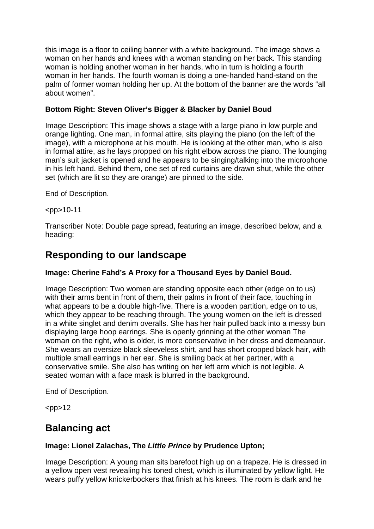this image is a floor to ceiling banner with a white background. The image shows a woman on her hands and knees with a woman standing on her back. This standing woman is holding another woman in her hands, who in turn is holding a fourth woman in her hands. The fourth woman is doing a one-handed hand-stand on the palm of former woman holding her up. At the bottom of the banner are the words "all about women".

### **Bottom Right: Steven Oliver's Bigger & Blacker by Daniel Boud**

Image Description: This image shows a stage with a large piano in low purple and orange lighting. One man, in formal attire, sits playing the piano (on the left of the image), with a microphone at his mouth. He is looking at the other man, who is also in formal attire, as he lays propped on his right elbow across the piano. The lounging man's suit jacket is opened and he appears to be singing/talking into the microphone in his left hand. Behind them, one set of red curtains are drawn shut, while the other set (which are lit so they are orange) are pinned to the side.

End of Description.

 $<$ pp>10-11

Transcriber Note: Double page spread, featuring an image, described below, and a heading:

# <span id="page-6-0"></span>**Responding to our landscape**

### **Image: Cherine Fahd's A Proxy for a Thousand Eyes by Daniel Boud.**

Image Description: Two women are standing opposite each other (edge on to us) with their arms bent in front of them, their palms in front of their face, touching in what appears to be a double high-five. There is a wooden partition, edge on to us, which they appear to be reaching through. The young women on the left is dressed in a white singlet and denim overalls. She has her hair pulled back into a messy bun displaying large hoop earrings. She is openly grinning at the other woman The woman on the right, who is older, is more conservative in her dress and demeanour. She wears an oversize black sleeveless shirt, and has short cropped black hair, with multiple small earrings in her ear. She is smiling back at her partner, with a conservative smile. She also has writing on her left arm which is not legible. A seated woman with a face mask is blurred in the background.

End of Description.

 $<$ pp $>12$ 

# <span id="page-6-1"></span>**Balancing act**

#### **Image: Lionel Zalachas, The** *Little Prince* **by Prudence Upton;**

Image Description: A young man sits barefoot high up on a trapeze. He is dressed in a yellow open vest revealing his toned chest, which is illuminated by yellow light. He wears puffy yellow knickerbockers that finish at his knees. The room is dark and he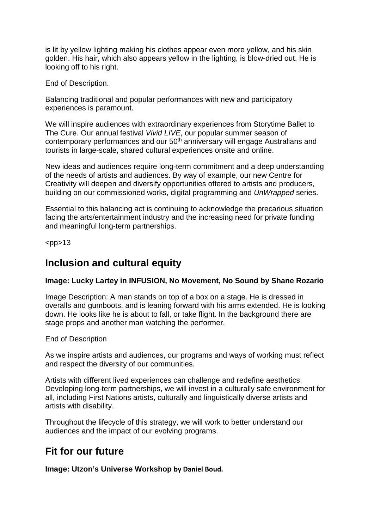is lit by yellow lighting making his clothes appear even more yellow, and his skin golden. His hair, which also appears yellow in the lighting, is blow-dried out. He is looking off to his right.

End of Description.

Balancing traditional and popular performances with new and participatory experiences is paramount.

We will inspire audiences with extraordinary experiences from Storytime Ballet to The Cure. Our annual festival *Vivid LIVE*, our popular summer season of contemporary performances and our 50th anniversary will engage Australians and tourists in large-scale, shared cultural experiences onsite and online.

New ideas and audiences require long-term commitment and a deep understanding of the needs of artists and audiences. By way of example, our new Centre for Creativity will deepen and diversify opportunities offered to artists and producers, building on our commissioned works, digital programming and *UnWrapped* series.

Essential to this balancing act is continuing to acknowledge the precarious situation facing the arts/entertainment industry and the increasing need for private funding and meaningful long-term partnerships.

<span id="page-7-0"></span> $<$ pp $>13$ 

## **Inclusion and cultural equity**

### **Image: Lucky Lartey in INFUSION, No Movement, No Sound by Shane Rozario**

Image Description: A man stands on top of a box on a stage. He is dressed in overalls and gumboots, and is leaning forward with his arms extended. He is looking down. He looks like he is about to fall, or take flight. In the background there are stage props and another man watching the performer.

End of Description

As we inspire artists and audiences, our programs and ways of working must reflect and respect the diversity of our communities.

Artists with different lived experiences can challenge and redefine aesthetics. Developing long-term partnerships, we will invest in a culturally safe environment for all, including First Nations artists, culturally and linguistically diverse artists and artists with disability.

Throughout the lifecycle of this strategy, we will work to better understand our audiences and the impact of our evolving programs.

# <span id="page-7-1"></span>**Fit for our future**

**Image: Utzon's Universe Workshop by Daniel Boud.**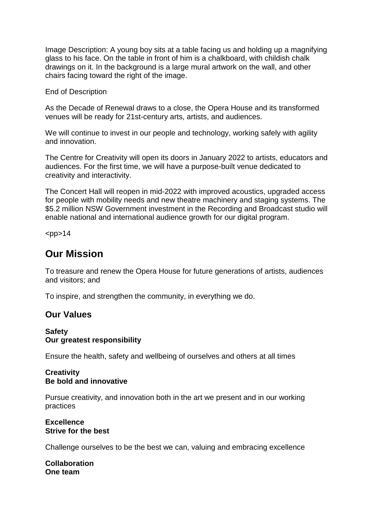Image Description: A young boy sits at a table facing us and holding up a magnifying glass to his face. On the table in front of him is a chalkboard, with childish chalk drawings on it. In the background is a large mural artwork on the wall, and other chairs facing toward the right of the image.

End of Description

As the Decade of Renewal draws to a close, the Opera House and its transformed venues will be ready for 21st-century arts, artists, and audiences.

We will continue to invest in our people and technology, working safely with agility and innovation.

The Centre for Creativity will open its doors in January 2022 to artists, educators and audiences. For the first time, we will have a purpose-built venue dedicated to creativity and interactivity.

The Concert Hall will reopen in mid-2022 with improved acoustics, upgraded access for people with mobility needs and new theatre machinery and staging systems. The \$5.2 million NSW Government investment in the Recording and Broadcast studio will enable national and international audience growth for our digital program.

 $<$ pp $>14$ 

## <span id="page-8-0"></span>**Our Mission**

To treasure and renew the Opera House for future generations of artists, audiences and visitors; and

To inspire, and strengthen the community, in everything we do.

### **Our Values**

#### **Safety Our greatest responsibility**

Ensure the health, safety and wellbeing of ourselves and others at all times

#### **Creativity Be bold and innovative**

Pursue creativity, and innovation both in the art we present and in our working practices

#### **Excellence Strive for the best**

Challenge ourselves to be the best we can, valuing and embracing excellence

**Collaboration One team**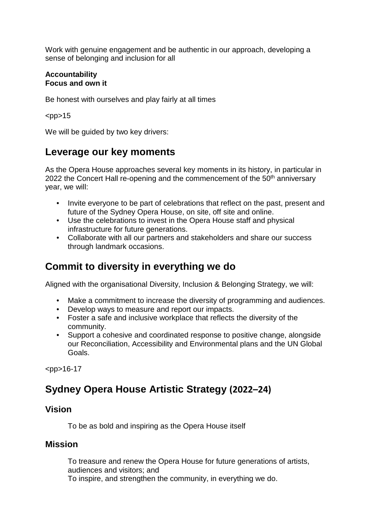Work with genuine engagement and be authentic in our approach, developing a sense of belonging and inclusion for all

#### **Accountability Focus and own it**

Be honest with ourselves and play fairly at all times

 $<$ pp $>15$ 

We will be guided by two key drivers:

# <span id="page-9-0"></span>**Leverage our key moments**

As the Opera House approaches several key moments in its history, in particular in 2022 the Concert Hall re-opening and the commencement of the 50<sup>th</sup> anniversary year, we will:

- Invite everyone to be part of celebrations that reflect on the past, present and future of the Sydney Opera House, on site, off site and online.
- Use the celebrations to invest in the Opera House staff and physical infrastructure for future generations.
- Collaborate with all our partners and stakeholders and share our success through landmark occasions.

# <span id="page-9-1"></span>**Commit to diversity in everything we do**

Aligned with the organisational Diversity, Inclusion & Belonging Strategy, we will:

- Make a commitment to increase the diversity of programming and audiences.
- Develop ways to measure and report our impacts.
- Foster a safe and inclusive workplace that reflects the diversity of the community.
- Support a cohesive and coordinated response to positive change, alongside our Reconciliation, Accessibility and Environmental plans and the UN Global Goals.

 $<$ pp>16-17

# <span id="page-9-2"></span>**Sydney Opera House Artistic Strategy (2022–24)**

### **Vision**

To be as bold and inspiring as the Opera House itself

### **Mission**

 To treasure and renew the Opera House for future generations of artists, audiences and visitors; and To inspire, and strengthen the community, in everything we do.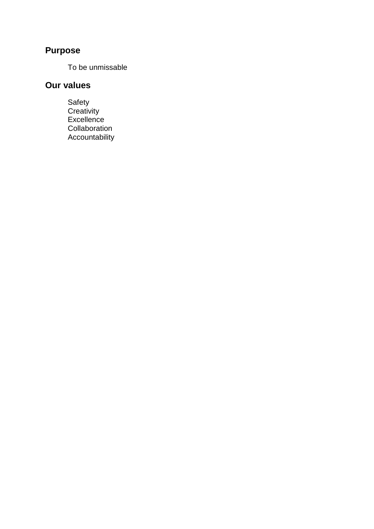# **Purpose**

To be unmissable

# **Our values**

 Safety Creativity **Excellence Collaboration** Accountability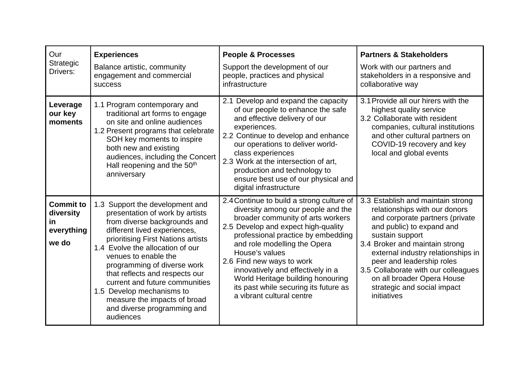| Our<br>Strategic<br>Drivers:                                | <b>Experiences</b><br>Balance artistic, community<br>engagement and commercial<br><b>success</b>                                                                                                                                                                                                                                                                                                                                                 | <b>People &amp; Processes</b><br>Support the development of our<br>people, practices and physical<br>infrastructure                                                                                                                                                                                                                                                                                                              | <b>Partners &amp; Stakeholders</b><br>Work with our partners and<br>stakeholders in a responsive and<br>collaborative way                                                                                                                                                                                                                                                     |
|-------------------------------------------------------------|--------------------------------------------------------------------------------------------------------------------------------------------------------------------------------------------------------------------------------------------------------------------------------------------------------------------------------------------------------------------------------------------------------------------------------------------------|----------------------------------------------------------------------------------------------------------------------------------------------------------------------------------------------------------------------------------------------------------------------------------------------------------------------------------------------------------------------------------------------------------------------------------|-------------------------------------------------------------------------------------------------------------------------------------------------------------------------------------------------------------------------------------------------------------------------------------------------------------------------------------------------------------------------------|
| Leverage<br>our key<br>moments                              | 1.1 Program contemporary and<br>traditional art forms to engage<br>on site and online audiences<br>1.2 Present programs that celebrate<br>SOH key moments to inspire<br>both new and existing<br>audiences, including the Concert<br>Hall reopening and the 50 <sup>th</sup><br>anniversary                                                                                                                                                      | 2.1 Develop and expand the capacity<br>of our people to enhance the safe<br>and effective delivery of our<br>experiences.<br>2.2 Continue to develop and enhance<br>our operations to deliver world-<br>class experiences<br>2.3 Work at the intersection of art,<br>production and technology to<br>ensure best use of our physical and<br>digital infrastructure                                                               | 3.1 Provide all our hirers with the<br>highest quality service<br>3.2 Collaborate with resident<br>companies, cultural institutions<br>and other cultural partners on<br>COVID-19 recovery and key<br>local and global events                                                                                                                                                 |
| <b>Commit to</b><br>diversity<br>in.<br>everything<br>we do | 1.3 Support the development and<br>presentation of work by artists<br>from diverse backgrounds and<br>different lived experiences,<br>prioritising First Nations artists<br>1.4 Evolve the allocation of our<br>venues to enable the<br>programming of diverse work<br>that reflects and respects our<br>current and future communities<br>1.5 Develop mechanisms to<br>measure the impacts of broad<br>and diverse programming and<br>audiences | 2.4 Continue to build a strong culture of<br>diversity among our people and the<br>broader community of arts workers<br>2.5 Develop and expect high-quality<br>professional practice by embedding<br>and role modelling the Opera<br>House's values<br>2.6 Find new ways to work<br>innovatively and effectively in a<br>World Heritage building honouring<br>its past while securing its future as<br>a vibrant cultural centre | 3.3 Establish and maintain strong<br>relationships with our donors<br>and corporate partners (private<br>and public) to expand and<br>sustain support<br>3.4 Broker and maintain strong<br>external industry relationships in<br>peer and leadership roles<br>3.5 Collaborate with our colleagues<br>on all broader Opera House<br>strategic and social impact<br>initiatives |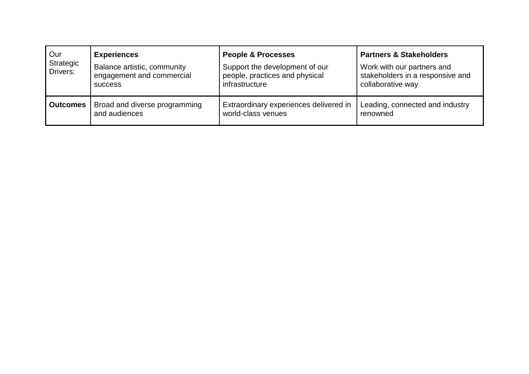| Our<br>Strategic<br>Drivers: | <b>Experiences</b><br>Balance artistic, community<br>engagement and commercial<br><b>SUCCESS</b> | <b>People &amp; Processes</b><br>Support the development of our<br>people, practices and physical<br>infrastructure | <b>Partners &amp; Stakeholders</b><br>Work with our partners and<br>stakeholders in a responsive and<br>collaborative way |
|------------------------------|--------------------------------------------------------------------------------------------------|---------------------------------------------------------------------------------------------------------------------|---------------------------------------------------------------------------------------------------------------------------|
| <b>Outcomes</b>              | Broad and diverse programming                                                                    | Extraordinary experiences delivered in                                                                              | Leading, connected and industry                                                                                           |
|                              | and audiences                                                                                    | world-class venues                                                                                                  | renowned                                                                                                                  |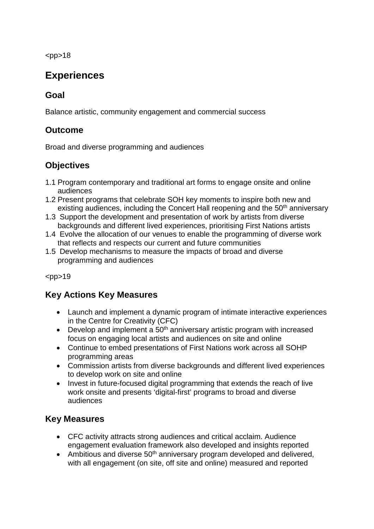$<$ pp>18

# <span id="page-13-0"></span>**Experiences**

## **Goal**

Balance artistic, community engagement and commercial success

## **Outcome**

Broad and diverse programming and audiences

## **Objectives**

- 1.1 Program contemporary and traditional art forms to engage onsite and online audiences
- 1.2 Present programs that celebrate SOH key moments to inspire both new and existing audiences, including the Concert Hall reopening and the 50<sup>th</sup> anniversary
- 1.3 Support the development and presentation of work by artists from diverse backgrounds and different lived experiences, prioritising First Nations artists
- 1.4 Evolve the allocation of our venues to enable the programming of diverse work that reflects and respects our current and future communities
- 1.5 Develop mechanisms to measure the impacts of broad and diverse programming and audiences

 $<$ pp $>19$ 

## **Key Actions Key Measures**

- Launch and implement a dynamic program of intimate interactive experiences in the Centre for Creativity (CFC)
- $\bullet$  Develop and implement a 50<sup>th</sup> anniversary artistic program with increased focus on engaging local artists and audiences on site and online
- Continue to embed presentations of First Nations work across all SOHP programming areas
- Commission artists from diverse backgrounds and different lived experiences to develop work on site and online
- Invest in future-focused digital programming that extends the reach of live work onsite and presents 'digital-first' programs to broad and diverse audiences

## **Key Measures**

- CFC activity attracts strong audiences and critical acclaim. Audience engagement evaluation framework also developed and insights reported
- Ambitious and diverse 50<sup>th</sup> anniversary program developed and delivered, with all engagement (on site, off site and online) measured and reported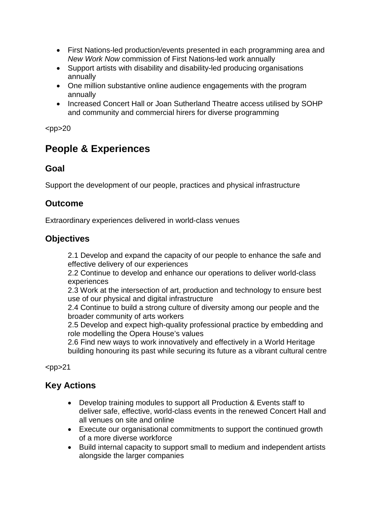- First Nations-led production/events presented in each programming area and *New Work Now* commission of First Nations-led work annually
- Support artists with disability and disability-led producing organisations annually
- One million substantive online audience engagements with the program annually
- Increased Concert Hall or Joan Sutherland Theatre access utilised by SOHP and community and commercial hirers for diverse programming

 $<$ pp $>$ 20

# <span id="page-14-0"></span>**People & Experiences**

## **Goal**

Support the development of our people, practices and physical infrastructure

## **Outcome**

Extraordinary experiences delivered in world-class venues

## **Objectives**

 2.1 Develop and expand the capacity of our people to enhance the safe and effective delivery of our experiences

 2.2 Continue to develop and enhance our operations to deliver world-class experiences

 2.3 Work at the intersection of art, production and technology to ensure best use of our physical and digital infrastructure

 2.4 Continue to build a strong culture of diversity among our people and the broader community of arts workers

 2.5 Develop and expect high-quality professional practice by embedding and role modelling the Opera House's values

 2.6 Find new ways to work innovatively and effectively in a World Heritage building honouring its past while securing its future as a vibrant cultural centre

 $<$ pp $>$ 21

## **Key Actions**

- Develop training modules to support all Production & Events staff to deliver safe, effective, world-class events in the renewed Concert Hall and all venues on site and online
- Execute our organisational commitments to support the continued growth of a more diverse workforce
- Build internal capacity to support small to medium and independent artists alongside the larger companies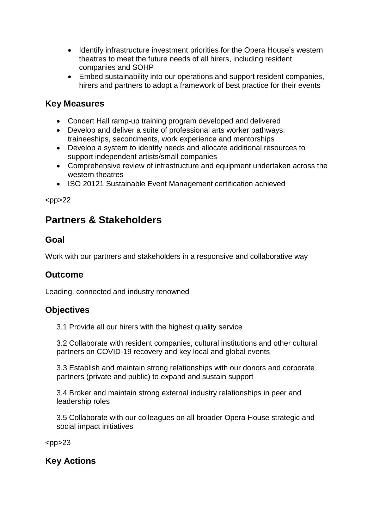- Identify infrastructure investment priorities for the Opera House's western theatres to meet the future needs of all hirers, including resident companies and SOHP
- Embed sustainability into our operations and support resident companies, hirers and partners to adopt a framework of best practice for their events

### **Key Measures**

- Concert Hall ramp-up training program developed and delivered
- Develop and deliver a suite of professional arts worker pathways: traineeships, secondments, work experience and mentorships
- Develop a system to identify needs and allocate additional resources to support independent artists/small companies
- Comprehensive review of infrastructure and equipment undertaken across the western theatres
- ISO 20121 Sustainable Event Management certification achieved

 $<$ pp>22

# <span id="page-15-0"></span>**Partners & Stakeholders**

### **Goal**

Work with our partners and stakeholders in a responsive and collaborative way

### **Outcome**

Leading, connected and industry renowned

### **Objectives**

3.1 Provide all our hirers with the highest quality service

3.2 Collaborate with resident companies, cultural institutions and other cultural partners on COVID-19 recovery and key local and global events

3.3 Establish and maintain strong relationships with our donors and corporate partners (private and public) to expand and sustain support

3.4 Broker and maintain strong external industry relationships in peer and leadership roles

3.5 Collaborate with our colleagues on all broader Opera House strategic and social impact initiatives

 $<$ pp>23

**Key Actions**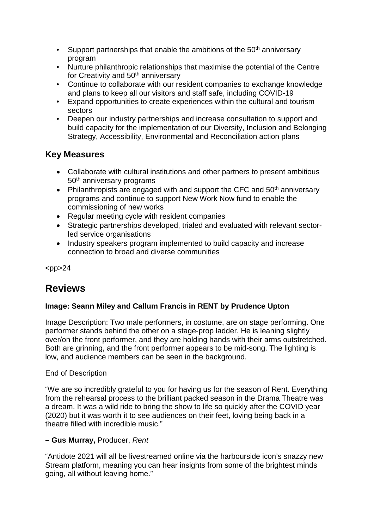- Support partnerships that enable the ambitions of the  $50<sup>th</sup>$  anniversary program
- Nurture philanthropic relationships that maximise the potential of the Centre for Creativity and 50<sup>th</sup> anniversary
- Continue to collaborate with our resident companies to exchange knowledge and plans to keep all our visitors and staff safe, including COVID-19
- Expand opportunities to create experiences within the cultural and tourism sectors
- Deepen our industry partnerships and increase consultation to support and build capacity for the implementation of our Diversity, Inclusion and Belonging Strategy, Accessibility, Environmental and Reconciliation action plans

## **Key Measures**

- Collaborate with cultural institutions and other partners to present ambitious 50<sup>th</sup> anniversary programs
- Philanthropists are engaged with and support the CFC and  $50<sup>th</sup>$  anniversary programs and continue to support New Work Now fund to enable the commissioning of new works
- Regular meeting cycle with resident companies
- Strategic partnerships developed, trialed and evaluated with relevant sectorled service organisations
- Industry speakers program implemented to build capacity and increase connection to broad and diverse communities

 $<$ pp>24

# <span id="page-16-0"></span>**Reviews**

### **Image: Seann Miley and Callum Francis in RENT by Prudence Upton**

Image Description: Two male performers, in costume, are on stage performing. One performer stands behind the other on a stage-prop ladder. He is leaning slightly over/on the front performer, and they are holding hands with their arms outstretched. Both are grinning, and the front performer appears to be mid-song. The lighting is low, and audience members can be seen in the background.

### End of Description

"We are so incredibly grateful to you for having us for the season of Rent. Everything from the rehearsal process to the brilliant packed season in the Drama Theatre was a dream. It was a wild ride to bring the show to life so quickly after the COVID year (2020) but it was worth it to see audiences on their feet, loving being back in a theatre filled with incredible music."

### **– Gus Murray,** Producer, *Rent*

"Antidote 2021 will all be livestreamed online via the harbourside icon's snazzy new Stream platform, meaning you can hear insights from some of the brightest minds going, all without leaving home."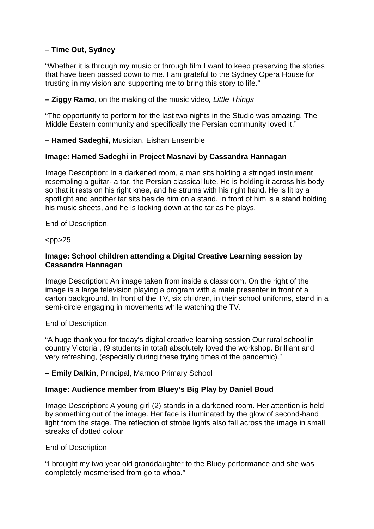### **– Time Out, Sydney**

"Whether it is through my music or through film I want to keep preserving the stories that have been passed down to me. I am grateful to the Sydney Opera House for trusting in my vision and supporting me to bring this story to life."

#### **– Ziggy Ramo**, on the making of the music video*, Little Things*

"The opportunity to perform for the last two nights in the Studio was amazing. The Middle Eastern community and specifically the Persian community loved it."

**– Hamed Sadeghi,** Musician, Eishan Ensemble

#### **Image: Hamed Sadeghi in Project Masnavi by Cassandra Hannagan**

Image Description: In a darkened room, a man sits holding a stringed instrument resembling a guitar- a tar, the Persian classical lute. He is holding it across his body so that it rests on his right knee, and he strums with his right hand. He is lit by a spotlight and another tar sits beside him on a stand. In front of him is a stand holding his music sheets, and he is looking down at the tar as he plays.

End of Description.

 $<$ pp $>$ 25

#### **Image: School children attending a Digital Creative Learning session by Cassandra Hannagan**

Image Description: An image taken from inside a classroom. On the right of the image is a large television playing a program with a male presenter in front of a carton background. In front of the TV, six children, in their school uniforms, stand in a semi-circle engaging in movements while watching the TV.

End of Description.

"A huge thank you for today's digital creative learning session Our rural school in country Victoria , (9 students in total) absolutely loved the workshop. Brilliant and very refreshing, (especially during these trying times of the pandemic)."

#### **– Emily Dalkin**, Principal, Marnoo Primary School

#### **Image: Audience member from Bluey's Big Play by Daniel Boud**

Image Description: A young girl (2) stands in a darkened room. Her attention is held by something out of the image. Her face is illuminated by the glow of second-hand light from the stage. The reflection of strobe lights also fall across the image in small streaks of dotted colour

#### End of Description

"I brought my two year old granddaughter to the Bluey performance and she was completely mesmerised from go to whoa."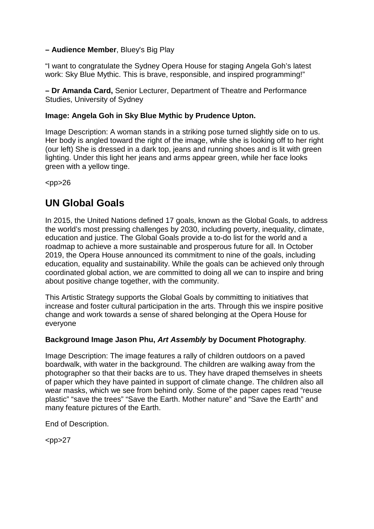### **– Audience Member**, Bluey's Big Play

"I want to congratulate the Sydney Opera House for staging Angela Goh's latest work: Sky Blue Mythic. This is brave, responsible, and inspired programming!"

**– Dr Amanda Card,** Senior Lecturer, Department of Theatre and Performance Studies, University of Sydney

### **Image: Angela Goh in Sky Blue Mythic by Prudence Upton.**

Image Description: A woman stands in a striking pose turned slightly side on to us. Her body is angled toward the right of the image, while she is looking off to her right (our left) She is dressed in a dark top, jeans and running shoes and is lit with green lighting. Under this light her jeans and arms appear green, while her face looks green with a yellow tinge.

 $<$ pp $>$ 26

# <span id="page-18-0"></span>**UN Global Goals**

In 2015, the United Nations defined 17 goals, known as the Global Goals, to address the world's most pressing challenges by 2030, including poverty, inequality, climate, education and justice. The Global Goals provide a to-do list for the world and a roadmap to achieve a more sustainable and prosperous future for all. In October 2019, the Opera House announced its commitment to nine of the goals, including education, equality and sustainability. While the goals can be achieved only through coordinated global action, we are committed to doing all we can to inspire and bring about positive change together, with the community.

This Artistic Strategy supports the Global Goals by committing to initiatives that increase and foster cultural participation in the arts. Through this we inspire positive change and work towards a sense of shared belonging at the Opera House for everyone

#### **Background Image Jason Phu,** *Art Assembly* **by Document Photography.**

Image Description: The image features a rally of children outdoors on a paved boardwalk, with water in the background. The children are walking away from the photographer so that their backs are to us. They have draped themselves in sheets of paper which they have painted in support of climate change. The children also all wear masks, which we see from behind only. Some of the paper capes read "reuse plastic" "save the trees" "Save the Earth. Mother nature" and "Save the Earth" and many feature pictures of the Earth.

End of Description.

 $<$ pp $>27$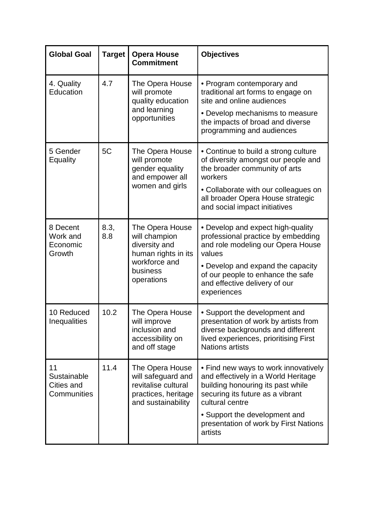| <b>Global Goal</b>                             | <b>Target</b> | <b>Opera House</b><br><b>Commitment</b>                                                                             | <b>Objectives</b>                                                                                                                                                                                                                                            |
|------------------------------------------------|---------------|---------------------------------------------------------------------------------------------------------------------|--------------------------------------------------------------------------------------------------------------------------------------------------------------------------------------------------------------------------------------------------------------|
| 4. Quality<br>Education                        | 4.7           | The Opera House<br>will promote<br>quality education<br>and learning<br>opportunities                               | • Program contemporary and<br>traditional art forms to engage on<br>site and online audiences<br>• Develop mechanisms to measure<br>the impacts of broad and diverse<br>programming and audiences                                                            |
| 5 Gender<br>Equality                           | 5C            | The Opera House<br>will promote<br>gender equality<br>and empower all<br>women and girls                            | • Continue to build a strong culture<br>of diversity amongst our people and<br>the broader community of arts<br>workers<br>• Collaborate with our colleagues on<br>all broader Opera House strategic<br>and social impact initiatives                        |
| 8 Decent<br>Work and<br>Economic<br>Growth     | 8.3,<br>8.8   | The Opera House<br>will champion<br>diversity and<br>human rights in its<br>workforce and<br>business<br>operations | • Develop and expect high-quality<br>professional practice by embedding<br>and role modeling our Opera House<br>values<br>• Develop and expand the capacity<br>of our people to enhance the safe<br>and effective delivery of our<br>experiences             |
| 10 Reduced<br>Inequalities                     | 10.2          | The Opera House<br>will improve<br>inclusion and<br>accessibility on<br>and off stage                               | • Support the development and<br>presentation of work by artists from<br>diverse backgrounds and different<br>lived experiences, prioritising First<br><b>Nations artists</b>                                                                                |
| 11<br>Sustainable<br>Cities and<br>Communities | 11.4          | The Opera House<br>will safeguard and<br>revitalise cultural<br>practices, heritage<br>and sustainability           | • Find new ways to work innovatively<br>and effectively in a World Heritage<br>building honouring its past while<br>securing its future as a vibrant<br>cultural centre<br>• Support the development and<br>presentation of work by First Nations<br>artists |